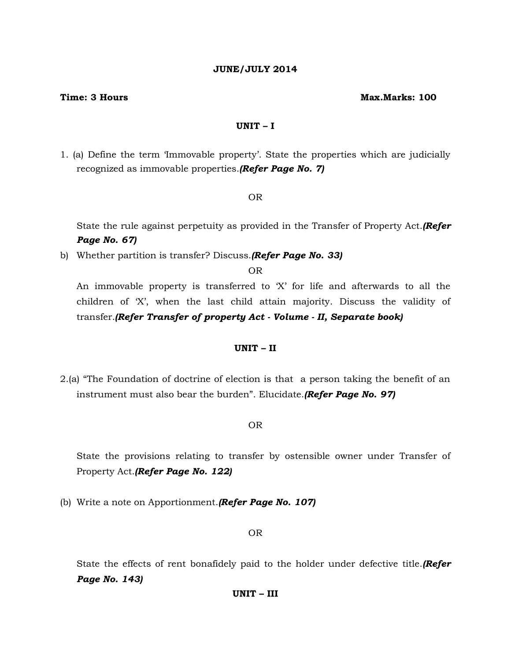## **JUNE/JULY 2014**

#### **Time: 3 Hours Max.Marks: 100**

## **UNIT – I**

1. (a) Define the term 'Immovable property'. State the properties which are judicially recognized as immovable properties.*(Refer Page No. 7)*

#### OR

State the rule against perpetuity as provided in the Transfer of Property Act.*(Refer Page No. 67)*

b) Whether partition is transfer? Discuss.*(Refer Page No. 33)*

OR

An immovable property is transferred to 'X' for life and afterwards to all the children of 'X', when the last child attain majority. Discuss the validity of transfer.*(Refer Transfer of property Act - Volume - II, Separate book)*

## **UNIT – II**

2.(a) "The Foundation of doctrine of election is that a person taking the benefit of an instrument must also bear the burden". Elucidate.*(Refer Page No. 97)*

#### OR

State the provisions relating to transfer by ostensible owner under Transfer of Property Act.*(Refer Page No. 122)*

(b) Write a note on Apportionment.*(Refer Page No. 107)*

#### OR

State the effects of rent bonafidely paid to the holder under defective title.*(Refer Page No. 143)*

#### **UNIT – III**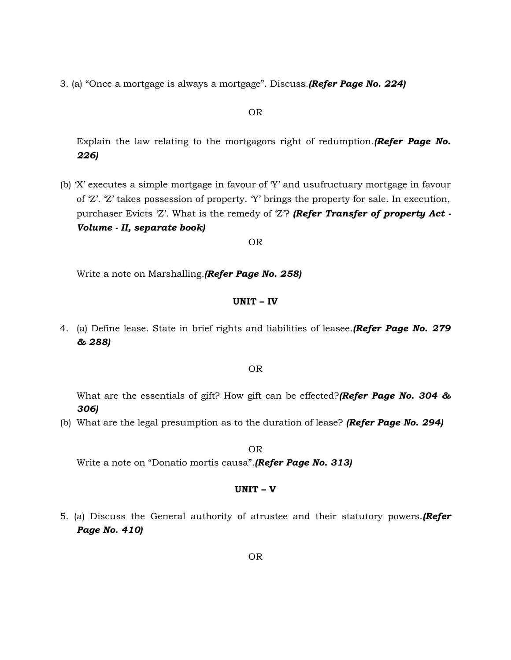3. (a) "Once a mortgage is always a mortgage". Discuss.*(Refer Page No. 224)*

### OR

Explain the law relating to the mortgagors right of redumption.*(Refer Page No. 226)*

(b) 'X' executes a simple mortgage in favour of 'Y' and usufructuary mortgage in favour of 'Z'. 'Z' takes possession of property. 'Y' brings the property for sale. In execution, purchaser Evicts 'Z'. What is the remedy of 'Z'? *(Refer Transfer of property Act - Volume - II, separate book)*

OR

Write a note on Marshalling.*(Refer Page No. 258)*

### **UNIT – IV**

4. (a) Define lease. State in brief rights and liabilities of leasee.*(Refer Page No. 279 & 288)*

## OR

What are the essentials of gift? How gift can be effected?*(Refer Page No. 304 & 306)*

(b) What are the legal presumption as to the duration of lease? *(Refer Page No. 294)*

OR

Write a note on "Donatio mortis causa".*(Refer Page No. 313)*

#### **UNIT – V**

5. (a) Discuss the General authority of atrustee and their statutory powers.*(Refer Page No. 410)*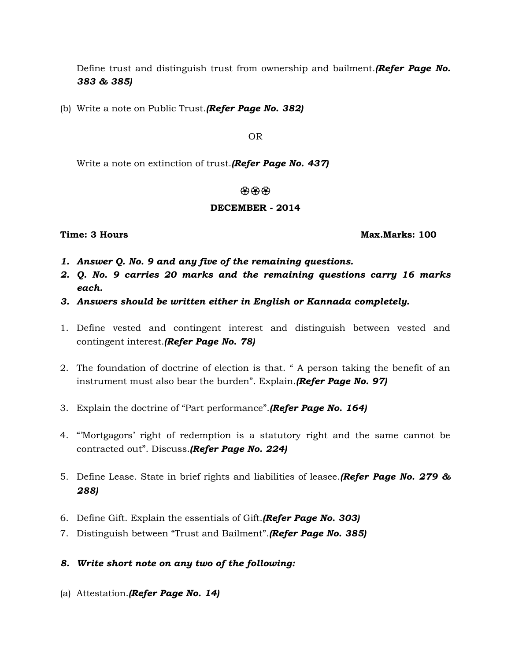Define trust and distinguish trust from ownership and bailment.*(Refer Page No. 383 & 385)*

(b) Write a note on Public Trust.*(Refer Page No. 382)*

OR

Write a note on extinction of trust.*(Refer Page No. 437)*

## 434343

# **DECEMBER - 2014**

**Time: 3 Hours Max.Marks: 100**

- *1. Answer Q. No. 9 and any five of the remaining questions.*
- *2. Q. No. 9 carries 20 marks and the remaining questions carry 16 marks each.*
- *3. Answers should be written either in English or Kannada completely.*
- 1. Define vested and contingent interest and distinguish between vested and contingent interest.*(Refer Page No. 78)*
- 2. The foundation of doctrine of election is that. " A person taking the benefit of an instrument must also bear the burden". Explain.*(Refer Page No. 97)*
- 3. Explain the doctrine of "Part performance".*(Refer Page No. 164)*
- 4. "'Mortgagors' right of redemption is a statutory right and the same cannot be contracted out". Discuss.*(Refer Page No. 224)*
- 5. Define Lease. State in brief rights and liabilities of leasee.*(Refer Page No. 279 & 288)*
- 6. Define Gift. Explain the essentials of Gift.*(Refer Page No. 303)*
- 7. Distinguish between "Trust and Bailment".*(Refer Page No. 385)*

# *8. Write short note on any two of the following:*

(a) Attestation.*(Refer Page No. 14)*